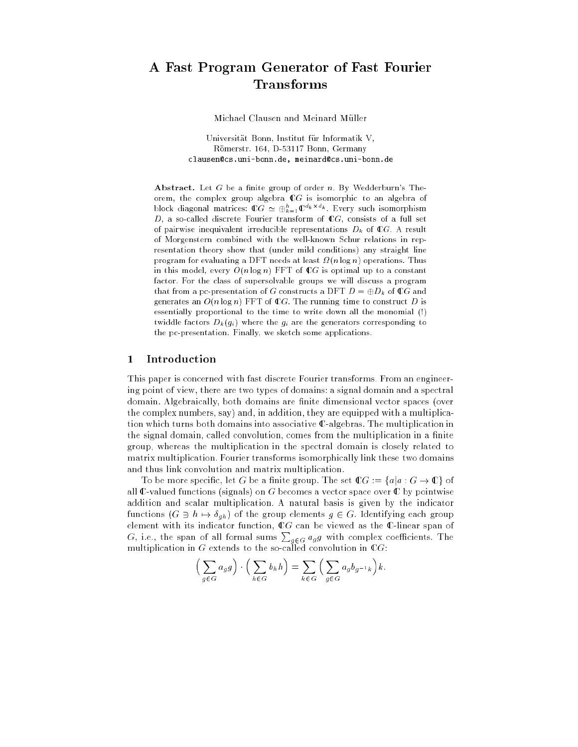# A Fast Program Generator of Fast Fourier Transforms

Michael Clausen and Meinard Muller

Universitat Bonn, Institut fur Informatik V, Romerstr. 164, D-53117 Bonn, Germany clausen@cs.uni-bonn.de, meinard@cs.uni-bonn.de

Abstract. Let  $G$  be a finite group of order  $n$ . By Wedderburn's Theorem, the complex group algebra  $\mathbb{C}G$  is isomorphic to an algebra of block diagonal matrices:  $\mathbb{C}G \cong \oplus_{k=1}^{\infty} \mathbb{C}^{\omega_k \times \omega_k}$ . Every such isomorphism D, a so-called discrete Fourier transform of  $\mathbb{C}G$ , consists of a full set of pairwise inequivalent irreducible representations  $D_k$  of CG. A result of Morgenstern combined with the well-known Schur relations in representation theory show that (under mild conditions) any straight line  $\mathbb{P}$  regramments at least  $\mathbb{P}$  and  $\mathbb{P}$  needs at least  $\mathbb{P}$  ,  $\mathbb{P}$  is a constant to a constant  $\mathbb{P}$ in this model, every  $O(n \log n)$  FFT of CG is optimal up to a constant factor. For the class of supersolvable groups we will discuss a program that from a pc-presentation of G constructs a DFT  $D = \bigoplus D_k$  of CG and generates an  $O(n \log n)$  FFT of CG. The running time to construct D is essentially proportional to the time to write down all the monomial (!) twiddle factors  $D_k(g_i)$  where the  $g_i$  are the generators corresponding to the pc-presentation. Finally, we sketch some applications.

# 1 Introduction

This paper is concerned with fast discrete Fourier transforms. From an engineering point of view, there are two types of domains: a signal domain and a spectral domain. Algebraically, both domains are finite dimensional vector spaces (over the complex numbers, say) and, in addition, they are equipped with a multiplication which turns both domains into associative C-algebras. The multiplication in the signal domain, called convolution, comes from the multiplication in a finite group, whereas the multiplication in the spectral domain is closely related to matrix multiplication. Fourier transforms isomorphically link these two domains and thus link convolution and matrix multiplication.

To be more specific, let G be a finite group. The set  $\mathbb{C}G := \{a | a : G \to \mathbb{C}\}\$  of all  $\mathbb C$ -valued functions (signals) on G becomes a vector space over  $\mathbb C$  by pointwise addition and scalar multiplication. A natural basis is given by the indicator functions  $(G \ni h \mapsto \delta_{gh})$  of the group elements  $g \in G$ . Identifying each group element with its indicator function,  $\mathbb{C}G$  can be viewed as the  $\mathbbm{C}\text{-linear span of}$ G, i.e., the span of all formal sums  $\sum_{g \in G} a_g g$  with complex coefficients. The multiplication in  $G$  extends to the so-called convolution in  $\mathbb{C}G$ :

$$
\left(\sum_{g \in G} a_g g\right) \cdot \left(\sum_{h \in G} b_h h\right) = \sum_{k \in G} \left(\sum_{g \in G} a_g b_{g^{-1}k}\right) k.
$$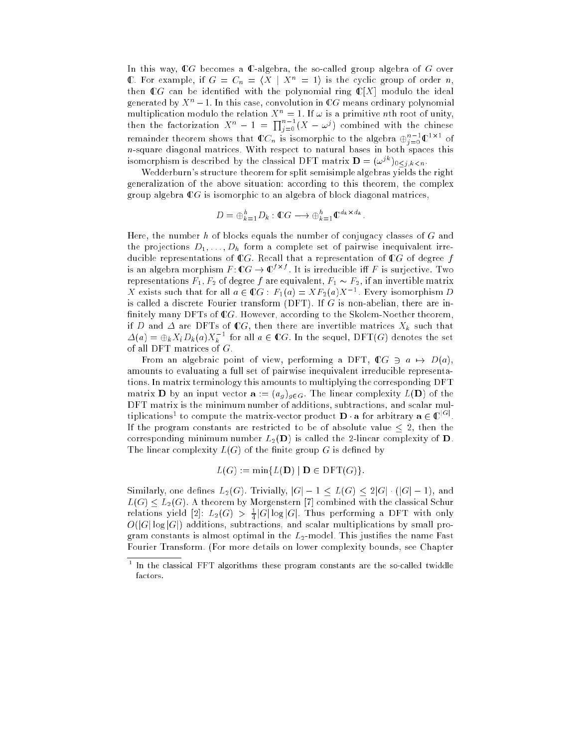In this way,  $\mathbb{C}G$  becomes a  $\mathbb{C}$ -algebra, the so-called group algebra of G over U. For example, if  $G = C_n = \langle X \mid X^n = 1 \rangle$  is the cyclic group of order n, then  $\mathbb{C}G$  can be identified with the polynomial ring  $\mathbb{C}[X]$  modulo the ideal generated by  $X^n - 1$ . In this case, convolution in  $\mathbb{C}G$  means ordinary polynomial multiplication modulo the relation  $\Lambda^+\equiv 1.$  If  $\omega$  is a primitive nth root of unity, then the factorization  $X^n - 1 = \prod_{i=0}^{n-1} (X - \omega^j)$  combined with the chinese remainder theorem shows that  $\mathbb{U} C_n$  is isomorphic to the algebra  $\oplus_{j=0}^\infty \mathbb{U}^{+\infty}$  of n-square diagonal matrices. With respect to natural bases in both spaces this isomorphism is described by the classical DFT matrix  $\mathbf{D} = (\omega^{jk})_{0 \leq j,k \leq n}$ .

Wedderburn's structure theorem for split semisimple algebras yields the right generalization of the above situation: according to this theorem, the complex group algebra  $\mathbb{C}G$  is isomorphic to an algebra of block diagonal matrices,

$$
D = \bigoplus_{k=1}^{h} D_k : \mathbb{C}G \longrightarrow \bigoplus_{k=1}^{h} \mathbb{C}^{d_k \times d_k}
$$

Here, the number  $h$  of blocks equals the number of conjugacy classes of  $G$  and the projections  $D_1, \ldots, D_h$  form a complete set of pairwise inequivalent irreducible representations of  $\mathbb{C}G$ . Recall that a representation of  $\mathbb{C}G$  of degree f is an algebra morphism  $F: \mathbb{U}G \to \mathbb{U}'$  of the integration if F is surjective. Two representations  $F_1, F_2$  of degree f are equivalent,  $F_1 \sim F_2$ , if an invertible matrix A exists such that for all  $a \in \Psi$ G :  $F_1(a) = A F_2(a) A^{-1}$ . Every isomorphism D is called a discrete Fourier transform (DFT). If <sup>G</sup> is non-abelian, there are in finitely many DFTs of  $\mathbb{C}G$ . However, according to the Skolem-Noether theorem, if  $D$  and  $D$  are DFTs of CG, then there are invertible matrices  $\mathcal{L}_{\mathbf{A}}$  such that  $\Delta(a) \equiv \oplus_k X_i D_k(a) X_k$  for all  $a \in \mathbb{C}G$ . In the sequel, DFT(G) denotes the set of all DFT matrices of G.

From an algebraic point of view, performing a DFT,  $\mathbb{C}G \ni a \mapsto D(a)$ , amounts to evaluating a full set of pairwise inequivalent irreducible representations. In matrix terminology this amounts to multiplying the corresponding DFT  $\frac{1}{2}$  by an input vector  $\alpha$  := (ag) gag. The linear compleme,  $\frac{1}{2}$  of the DFT matrix is the minimum number of additions, subtractions, and scalar multiplications<sup>+</sup> to compute the matrix-vector product **D** a for arbitrary  $\mathbf{a} \in \mathbb{C}^{+\infty}$ . If the program constants are restricted to be of absolute value  $\leq$  2, then the corresponding minimum number  $L_2(D)$  is called the 2-linear complexity of D. The linear complexity  $L(G)$  of the finite group G is defined by

$$
L(G) := \min\{L(\mathbf{D}) \mid \mathbf{D} \in \text{DFT}(G)\}.
$$

Similarly, one defines  $L_2(G)$ . Trivially,  $|G|-1 \leq L(G) \leq 2|G|\cdot (|G|-1)$ , and  $L(G) \le L_2(G)$ . A theorem by Morgenstern [7] combined with the classical Schur relations yield  $|2|: L_2(G) \geq \frac{1}{4}|G|\log |G|$ . Thus performing a DFT with only O(jGj log jGj) additions, subtractions, and scalar multiplications by small program constants is almost optimal in the  $L_2$ -model. This justifies the name Fast Fourier Transform. (For more details on lower complexity bounds, see Chapter

<sup>1</sup> In the classical FFT algorithms these program constants are the so-called twiddle factors.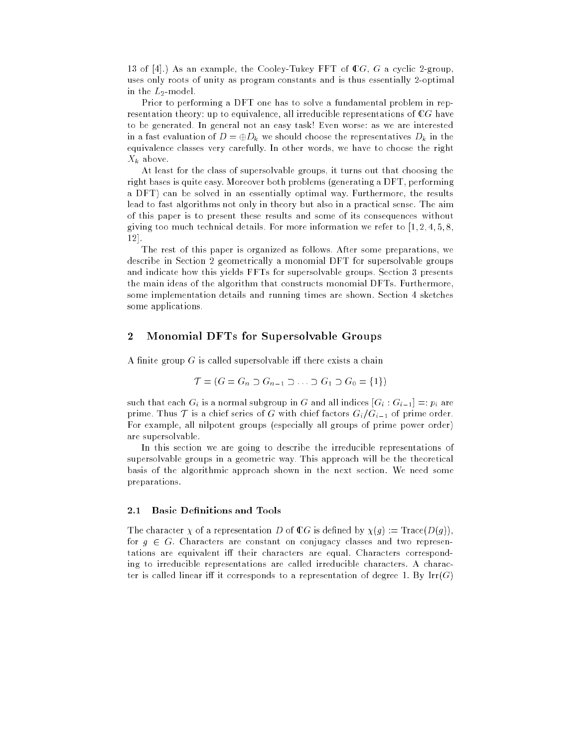13 of [4].) As an example, the Cooley-Tukey FFT of  $\mathbb{C}G$ , G a cyclic 2-group, uses only roots of unity as program constants and is thus essentially 2-optimal in the  $L_2$ -model.

Prior to performing a DFT one has to solve a fundamental problem in representation theory: up to equivalence, all irreducible representations of  $\mathbb{C}G$  have to be generated. In general not an easy task! Even worse: as we are interested in a fast construction of D  $\psi = \mu$  we show that the representatives  $\mu$  in the representatives  $\mu$ equivalence classes very carefully. In other words, we have to choose the right  $x \cdot y \sim 0$ 

At least for the class of supersolvable groups, it turns out that choosing the right bases is quite easy. Moreover both problems (generating a DFT, performing a DFT) can be solved in an essentially optimal way. Furthermore, the results lead to fast algorithms not only in theory but also in a practical sense. The aim of this paper is to present these results and some of its consequences without giving too much technical details. For more information we refer to  $[1, 2, 4, 5, 8,$ 12].

The rest of this paper is organized as follows. After some preparations, we describe in Section 2 geometrically a monomial DFT for supersolvable groups and indicate how this yields FFTs for supersolvable groups. Section 3 presents the main ideas of the algorithm that constructs monomial DFTs. Furthermore, some implementation details and running times are shown. Section 4 sketches some applications.

# <sup>2</sup> Monomial DFTs for Supersolvable Groups

A finite group  $G$  is called supersolvable iff there exists a chain

$$
\mathcal{T} = (G = G_n \supset G_{n-1} \supset \ldots \supset G_1 \supset G_0 = \{1\})
$$

such that each  $G_i$  is a normal subgroup in G and all indices  $|G_i|$  :  $G_i-1$   $\mapsto$   $p_i$  are prime. Thus  $\mathcal T$  is a chief series of G with chief factors  $G_i/G_{i-1}$  of prime order. For example, all nilpotent groups (especially all groups of prime power order) are supersolvable.

In this section we are going to describe the irreducible representations of supersolvable groups in a geometric way. This approach will be the theoretical basis of the algorithmic approach shown in the next section. We need some preparations.

### 2.1 Basic Definitions and Tools

The character  $\chi$  of a representation D of CG is defined by  $\chi(g) := \text{Trace}(D(g)),$ for  $g \in G$ . Characters are constant on conjugacy classes and two representations are equivalent iff their characters are equal. Characters corresponding to irreducible representations are called irreducible characters. A character is called linear iff it corresponds to a representation of degree 1. By  $\text{Irr}(G)$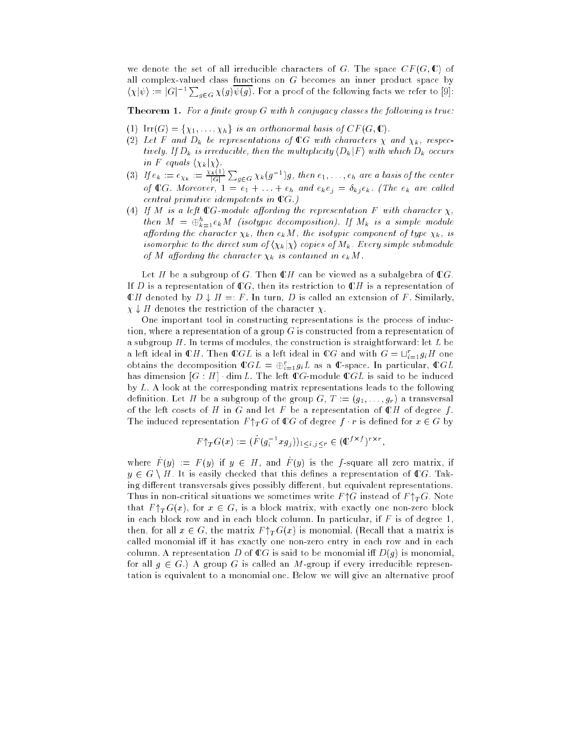we denote the set of all irreducible characters of G. The space  $CF(G, \mathbb{C})$  of all complex-valued class functions on <sup>G</sup> becomes an inner product space by  $\langle \chi | \psi \rangle := |G|^{-1} \sum_{g \in G} \chi(g) \psi(g)$ . For a proof of the following facts we refer to [9]:

**Theorem 1.** For a finite group  $G$  with h conjugacy classes the following is true:

- (1)  $Irr(G) = {\chi_1, \ldots, \chi_h}$  is an orthonormal basis of  $CF(G, \mathbb{C})$ .
- (2) Let  $F$  and Dk be representations of CG with characters  $\Lambda$  with  $\Lambda$ tively. If  $D_k$  is irreducible, then the multiplicity  $\mu=\mu+\nu$  with which  $D_k$  is sense  $\cdots$  =  $\cdots$  equals  $\cdots$  . As  $\cdots$
- (3) If  $e_k := e_{\chi_k} := \frac{\chi_{k+1}}{|G|}$  $\sum_{g \in G} \chi_k(g^{-1}) g,$  then  $e_1, \ldots, e_h$  are a basis of the center of CG. Moreover, <sup>1</sup> <sup>=</sup> e1 <sup>+</sup> : : : <sup>+</sup> eh and ekej <sup>=</sup> kjek . (The ek are cal led central primitive idempotents in CG.)
- (4) If M is a left  $\mathbb{C}G$ -module affording the representation F with character  $\chi$ , then  $M = \bigoplus_{k=1}^n e_k M$  (isotypic decomposition). If  $M_k$  is a simple module affording the character  $\chi_k$ , then  $e_k M$ , the isotypic component of type  $\chi_k$ , is isomorphic to the direct sum of  $\langle \chi_k | \chi \rangle$  copies of  $M_k$ . Every simple submodule of <sup>M</sup> aording the character k is contained in ekM.

Let H be a subgroup of G. Then  $\mathbb{C}H$  can be viewed as a subalgebra of  $\mathbb{C}G$ . If D is a representation of  $\mathbb{C}G$ , then its restriction to  $\mathbb{C}H$  is a representation of  $\mathbb{C}H$  denoted by  $D \downarrow H =: F$ . In turn, D is called an extension of F. Similarly, # <sup>H</sup> denotes the restriction of the character .

One important tool in constructing representations is the process of induction, where a representation of a group  $G$  is constructed from a representation of a subgroup  $H$ . In terms of modules, the construction is straightforward: let  $L$  be a left ideal in  $\uplus H$  . Then  $\uplus GL$  is a left ideal in  $\uplus G$  and with  $G=\sqcup_{i=1}^{\cdot}g_{i}H$  one obtains the decomposition  $\psi \circ L = \oplus_{i=1}^r g_i L$  as a  $\psi$ -space. In particular,  $\psi \circ L$ has dimension  $[G : H] \cdot \dim L$ . The left  $\mathbb{C}G$ -module  $\mathbb{C}GL$  is said to be induced by L. A look at the corresponding matrix representations leads to the following definition. Let H be a subgroup of the group  $G, T := (g_1, \ldots, g_r)$  a transversal of the left cosets of H in G and let F be a representation of  $\mathbb{C}H$  of degree f. The induced representation  $\mathcal{F}$  of  $\mathcal{F}$  is degree for  $\mathcal{F}$  and  $\mathcal{F}$  and  $\mathcal{F}$  and  $\mathcal{F}$ 

$$
F\uparrow_T G(x) := (F(g_i^{-1}xg_j))_{1\leq i,j\leq r} \in (\mathbb{C}^{f \times f})^{r \times r},
$$

where  $F(y) = F(y)$  if  $y \in H$ , and  $F(y)$  is the f-square all zero matrix, if y <sup>2</sup> <sup>G</sup> <sup>n</sup> H. It is easily checked that this denes a representation of CG. Taking different transversals gives possibly different, but equivalent representations. Thus in non-critical situations we sometimes write F  $_{\parallel}$  G instead of F  $_{\parallel}}$  G instead that  $F$  of  $\{x\}$  and  $x$   $\in$   $G$  , is a block matrix, with exactly one non-zero block matrix. in each block row and in each block column. In particular, if  $F$  is of degree 1, then, for all  $\alpha$   $\alpha$  is all the matrix  $\alpha$  . The matrix is model that a matrix is model to called monomial iff it has exactly one non-zero entry in each row and in each column. A representation D of  $\mathbb{C}G$  is said to be monomial iff  $D(g)$  is monomial, for all  $g \in G$ .) A group G is called an M-group if every irreducible representation is equivalent to a monomial one. Below we will give an alternative proof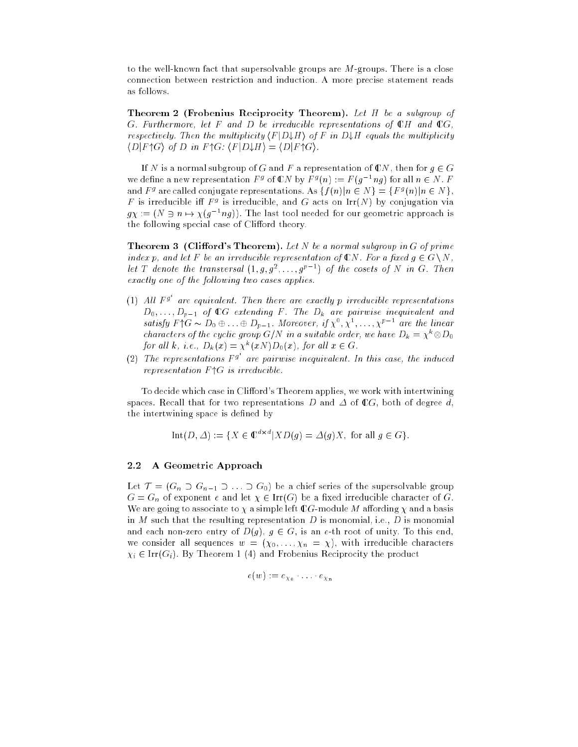to the well-known fact that supersolvable groups are M-groups. There is a close connection between restriction and induction. A more precise statement reads as follows.

Theorem 2 (Frobenius Reciprocity Theorem). Let H be a subgroup of G. Furthermore, let F and D be irreducible representations of  $\mathbb{C}H$  and  $\mathbb{C}G$ , respectively. Then the multiplicity  $\langle F|D\downarrow H\rangle$  of F in  $D\downarrow H$  equals the multiplicity  $\mathcal{L} = \mathcal{L} = \mathcal{L} = \{ \mathcal{L} \mid \mathcal{L} \in \mathcal{L} \}$  . The set of  $\mathcal{L} = \{ \mathcal{L} \mid \mathcal{L} \in \mathcal{L} \}$ 

If N is a normal subgroup of G and F a representation of CN, then for  $g \in G$ we define a new representation  $F^g$  of  $\Psi N$  by  $F^g(n) := F(q^{-1}nq)$  for all  $n \in N$ . F and F g are called conjugate representations. As  $\{f(n)|n \in N\} = \{F^g(n)|n \in N\}$ ,  $F$  is irreducible in  $F^g$  is irreducible, and  $G$  acts on Irr(N) by conjugation via  $q\chi := (N \ni n \mapsto \chi(q^{-1} n q))$ . The last tool needed for our geometric approach is the following special case of Clifford theory.

**Theorem 3 (Clifford's Theorem).** Let N be a normal subgroup in G of prime index p, and let F be an irreducible representation of  $\mathbb{C}N$ . For a fixed  $g \in G\backslash N$ , tet 1 denote the transversal  $[1, q, q^{\tau}, \ldots, q^{\mu - \tau}]$  of the cosets of N in  $\mathbf{G}$ . Then exactly one of the following two cases applies.

- (1) All  $F<sup>g</sup>$  are equivalent. Then there are exactly p irreducible representations  $D_0, \ldots, D_{p-1}$  of  $\mathbb{C}G$  extending F. The  $D_k$  are pairwise inequivalent and satisfy F  $\mathbb{T}G \sim D_0 \oplus \ldots \oplus D_{p-1}$  . Moreover, if  $\chi^*, \chi^*, \ldots, \chi^r$  are the linear characters of the cyclic group G+ n in a suitable order, we have  $D_k \equiv \chi^{\scriptscriptstyle +}\otimes D_0$ for all  $\kappa$ , i.e.,  $D_k(x) = \chi^*(x)D_0(x)$ , for all  $x \in G$ .
- (2) The representations  $F<sup>g</sup>$  are pairwise inequivalent. In this case, the induced representation  $F \uparrow G$  is irreducible.

To decide which case in Clifford's Theorem applies, we work with intertwining spaces. Recall that for two representations  $D$  and  $\Delta$  of  $\mathbb{C}G$ , both of degree d, the intertwining space is defined by

$$
Int(D, \Delta) := \{ X \in \mathbb{C}^{d \times d} | X D(g) = \Delta(g) X, \text{ for all } g \in G \}.
$$

#### 2.2 A Geometric Approach

 $\mathbb{R}^n$  :  $\mathbb{R}^n$  ,  $\mathbb{R}^n$  ,  $\mathbb{R}^n$  is the supersolvable group  $\mathbb{R}^n$  . The supersolvable group  $\mathbb{R}^n$  $G = \{a_i\}_{i=1}^n$  is exponent entropy to  $\{a_i\}_{i=1}^n$  and  $\{a_i\}_{i=1}^n$  is a character of character of G.1 We are going to associate to  $\chi$  a simple left  $\mathbb{C}G$ -module M affording  $\chi$  and a basis in M such that the resulting representation  $D$  is monomial, i.e.,  $D$  is monomial and each non-zero entry of  $D(g)$ ,  $g \in G$ , is an e-th root of unity. To this end, we consider all sequences  $w = (\chi_0, \ldots, \chi_n = \chi)$ , with irreducible characters is  $\sum_{i=1}^n \sum_{j=1}^n \sum_{j=1}^n \sum_{j=1}^n \sum_{j=1}^n \sum_{j=1}^n \sum_{j=1}^n \sum_{j=1}^n \sum_{j=1}^n \sum_{j=1}^n \sum_{j=1}^n \sum_{j=1}^n \sum_{j=1}^n \sum_{j=1}^n \sum_{j=1}^n \sum_{j=1}^n \sum_{j=1}^n \sum_{j=1}^n \sum_{j=1}^n \sum_{j=1}^n \sum_{j=1}^n \sum_{j=1}^n \sum_{j=1}^n \sum_{j=1}^n \$ 

$$
e(w) := e_{\chi_0} \cdot \ldots \cdot e_{\chi_n}
$$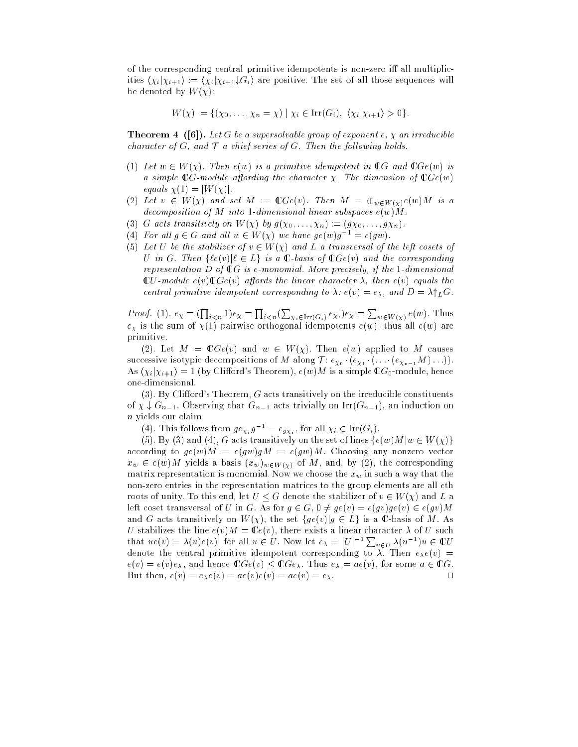of the corresponding central primitive idempotents is non-zero iff all multiplicities in  $\{A, b\}$ i $A, b\pm1$  is a set of all those set of  $A, b\pm1$  is all those sequences with set of all those will those sequences with be denoted by  $W(\chi)$ :

$$
W(\chi) := \{ (\chi_0, \ldots, \chi_n = \chi) \mid \chi_i \in \text{Irr}(G_i), \ \langle \chi_i | \chi_{i+1} \rangle > 0 \}.
$$

**Theorem 4** ([6]). Let G be a supersolvable group of exponent e,  $\chi$  an irreducible character of G, and  $\mathcal T$  a chief series of G. Then the following holds.

- (1) Let  $w \in W(\chi)$ . Then  $e(w)$  is a primitive idempotent in  $\mathbb{C}G$  and  $\mathbb{C}Ge(w)$  is a simple  $\mathbb{C}G$ -module affording the character  $\chi$ . The dimension of  $\mathbb{C}Ge(w)$ equals  $\chi(1) = |W(\chi)|$ .
- (2) Let  $v \in W(\chi)$  and set  $M := \mathbb{C} Ge(v)$ . Then  $M = \bigoplus_{w \in W(\chi)} e(w)M$  is a decomposition of M into 1-dimensional linear subspaces  $e(w)M$ .
- (3) G acts transitively on  $W(\chi)$  by  $g(\chi_0, \ldots, \chi_n) := (g\chi_0, \ldots, g\chi_n)$ .
- (4) For all  $g \in G$  and all  $w \in W(\chi)$  we have  $ge(w)g^{-1} = e(gw)$ .
- (5) Let U be the stabilizer of  $v \in W(\chi)$  and L a transversal of the left cosets of U in G. Then f`e(v)j` <sup>2</sup> Lg is a C-basis of CGe(v) and the corresponding representation  $D$  of  $\mathbb{C}G$  is e-monomial. More precisely, if the 1-dimensional  $\mathbb{C} U$ -module  $e(v) \mathbb{C} G e(v)$  affords the linear character  $\lambda$ , then  $e(v)$  equals the central primitive idempotent corresponding to  $\lambda$ :  $e(v) = e_{\lambda}$ , and  $D = \lambda \uparrow_L G$ .

*Proof.* (1).  $e_\chi = (\prod_{i \leq n} 1)e_\chi = \prod_{i \leq n} (\sum_{\chi_i \in \text{Irr}(G_i)} e_{\chi_i}) e_\chi = \sum_{w \in W(\chi)} e(w)$ . Thus e is the sum of (1) pairwise orthogonal idempotents e(w); thus all e(w) are primitive.

(2). Let  $M = \mathbb{C} Ge(v)$  and  $w \in W(\chi)$ . Then  $e(w)$  applied to M causes successive isotypic decompositions of M along  $\mathcal{T}: e_{\chi_0} \cdot (e_{\chi_1} \cdot ( \ldots (e_{\chi_{n-1}}M) \ldots)).$ As  $\langle \chi_i | \chi_{i+1} \rangle = 1$  (by Clifford's Theorem),  $e(w)M$  is a simple  $\mathbb{C}G_0$ -module, hence one-dimensional.

 $(3)$ . By Clifford's Theorem,  $G$  acts transitively on the irreducible constituents of  $\chi \downarrow G_{n-1}$ . Observing that  $G_{n-1}$  acts trivially on Irr( $G_{n-1}$ ), an induction on n yields our claim.

(4). This follows from  $ge_{\chi_i} g^{-1} = e_{g\chi_i}$ , for all  $\chi_i \in \text{Irr}(G_i)$ .

(5). By (3) and (4), G acts transitively on the set of lines  $\{e(w)M|w \in W(\chi)\}$ according to  $ge(w)M = e(gw)gM = e(gw)M$ . Choosing any nonzero vector  $w \in \mathbb{R}$  , which is a basis of M, and, by  $w \in W$  (x), we can also find the corresponding matrix representation is monomial. The xw in such a way that the such a way that the xw in such a way non-zero entries in the representation matrices to the group elements are all eth roots of unity. To this end, let  $U \leq G$  denote the stabilizer of  $v \in W(\chi)$  and L a left coset transversal of U in G. As for  $g \in G$ ,  $0 \neq ge(v) = e(gv)ge(v) \in e(gv)M$ and G acts transitively on  $W(\chi)$ , the set  $\{ge(v) | g \in L\}$  is a C-basis of M. As U stabilizes the line e(v)  $\mu$  . Ce(v), there exists a linear character of U such U such that  $ue(v) = \lambda(u)e(v)$ , for all  $u \in U$ . Now let  $e_{\lambda} = |U|^{-1} \sum_{u \in U} \lambda(u^{-1})u \in \mathbb{C}U$ denote the central primitive idempotent corresponding to  $\lambda$ . Then  $e_{\lambda}e(v)$  =  $\mathcal{C}(\mathcal{C}) = \mathcal{C}(\mathcal{C}) \cap \mathcal{A}$  , and hence  $\mathcal{C}(\mathcal{C}) \cap \mathcal{C}(\mathcal{C})$ , thus equals to the  $\mathcal{C}(\mathcal{C})$ . But then,  $e(v) = e_{\lambda}e(v) = ae(v)e(v) = ae(v) = e_{\lambda}$ .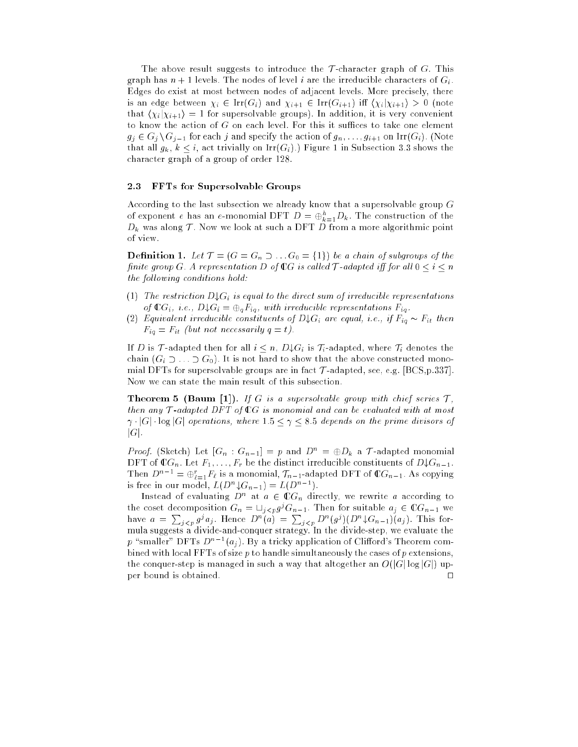The above result suggests to introduce the  $\mathcal T$ -character graph of G. This graph has <sup>n</sup> + 1 levels. The nodes of level <sup>i</sup> are the irreducible characters of Gi . Edges do exist at most between nodes of adjacent levels. More precisely, there is an edge between it  $\Lambda_k$   $\in$  and  $\infty$  if  $\Lambda_k$  if  $\Lambda_k$  if  $\Lambda_k$  if  $\Lambda_k$  if  $\Lambda_k$  if  $\Lambda_k$  if  $\Lambda_k$  if  $\Lambda_k$  $t_{\rm AIIA}$ i $\pm$ 11 =  $t$  for supersoriusity groups). In addition, it is very convenient to know the action of  $G$  on each level. For this it suffices to take one element  $g_j \in \mathcal{G}_j$  ,  $\mathcal{G}_j = 1$  for each  $j$  and specify the action of  $g_{ll}, \ldots$  ;  $g_{l+1}$  on Irr( $\mathcal{G}_l$ ). (1.010 that all  $g_k$ ,  $k \leq i$ , act trivially on Irr( $G_i$ ).) Figure 1 in Subsection 3.3 shows the character graph of a group of order 128.

### 2.3 FFTs for Supersolvable Groups

According to the last subsection we already know that a supersolvable group <sup>G</sup> of exponent e has an e-monomial DFT  $D = \oplus_{k=1}^\infty D_k$ . The construction of the Dk was along <sup>T</sup> . Now we look at such a DFT <sup>D</sup> from a more algorithmic point of view.

 $\blacksquare$  decreases and  $\blacksquare$  . Let  $\blacksquare$  be a chain of the chain of the chain of the chain of the chain of the chain finite group G. A representation D of  $\mathbb{C}G$  is called  $\mathcal T$ -adapted iff for all  $0 \leq i \leq n$ the following conditions hold.

- (1) The restriction D#Gi is equal to the direct sum of irreducible representations  $\alpha_i$  case, i.e.,  $\alpha_i$  and  $\alpha_i$  are presented in the representation  $\alpha_i$  .
- (2) Equivalent irreducible constituents of D#Gi are equal, i.e.,  $\eta = \iota \mathfrak{g}$  for  $\iota \mathfrak{g}$  are equal.  $F_{ij} = F_{ij} + F_{ij}$  and  $F_{ij}$  is necessarily quantity.

If  $\alpha$  is the form for all its then for all independent  $\alpha$  is the  $\alpha$  is the  $\alpha$  is the Ti-adapted theories the  $\alpha$ chain (Gi  $\leq$  ). It is good to show that the above construction of the above construction monomonomers are above constructed monopoly mial DFTs for supersolvable groups are in fact  $\mathcal{T}$ -adapted, see, e.g. [BCS,p.337]. Now we can state the main result of this subsection.

**Theorem 5 (Baum [1]).** If G is a supersolvable group with chief series  $\mathcal{T}_i$ then any  $\mathcal T$ -adapted DFT of  $\mathbb {C}G$  is monomial and can be evaluated with at most jGj log jGj operations, where 1:5 8:5 depends on the prime divisors of  $|G|$ .

Proof. (Sketch) Let  $|G_n:G_{n-1}| = p$  and  $D^+ = \oplus D_k$  a T-adapted monomial DFT of  $\mathbb{C}G_n$ . Let  $F_1, \ldots, F_r$  be the distinct irreducible constituents of  $D \downarrow G_{n-1}$ . Then  $D^{n-1} = \bigoplus_{\ell=1}^n F_\ell$  is a monomial,  $f_{n-1}$ -adapted DFT of  $\mathbb{C}G_{n-1}$ . As copying is free in our model,  $L(D^{\dagger})\mathcal{G}_{n-1} = L(D^{\dagger})$ .

Instead of evaluating  $D^{\alpha}$  at  $a \in \Psi G_n$  directly, we rewrite a according to the coset decomposition  $G_n = \sqcup_{j < p} g^{j} G_{n-1}$ . Then for suitable  $a_j \in \mathbb{C}G_{n-1}$  we have  $a = \sum_{j < p} g^j a_j$ . Hence  $D^n(a) = \sum_{j < p} D^n(g^j)(D^n \downarrow G_{n-1})(a_j)$ . This formula suggests a divide-and-conquer strategy. In the divide-step, we evaluate the p "smaller" DFTs  $D^{n-1}(a_i)$ . By a tricky application of Clifford's Theorem combined with local FFTs of size p to handle simultaneously the cases of p extensions, the conquer-step is managed in such a way that altogether an  $O(|G|\log |G|)$  up $p$ er bound is obtained.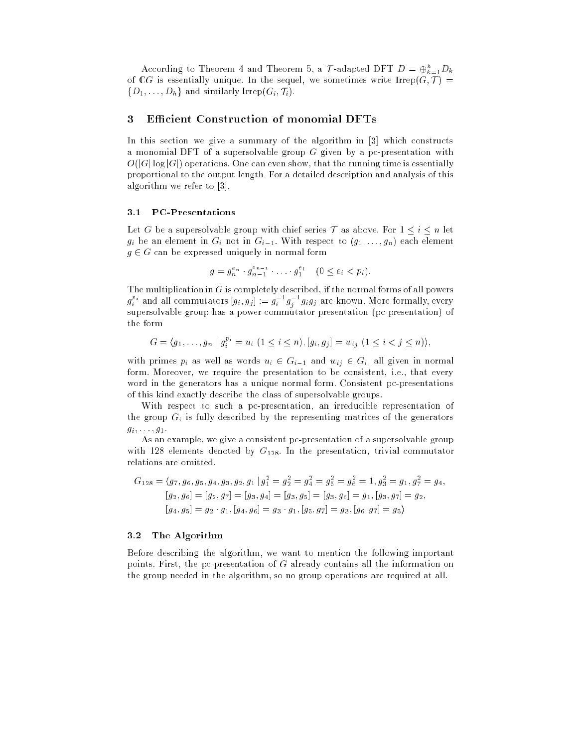According to Theorem 4 and Theorem 5, a 7-adapted DFT  $D = \oplus_{k=1}^{\infty} D_k$ of  $\mathbb{C}G$  is essentially unique. In the sequel, we sometimes write Irrep $(G, \mathcal{T}) =$  $\{D_1, \ldots, D_h\}$  and similarly Irrep $(G_i, \mathcal{T}_i)$ .

# 3 Efficient Construction of monomial DFTs

In this section we give a summary of the algorithm in [3] which constructs a monomial DFT of a supersolvable group  $G$  given by a pc-presentation with  $O(|G|\log|G|)$  operations. One can even show, that the running time is essentially proportional to the output length. For a detailed description and analysis of this algorithm we refer to [3].

#### 3.1 PC-Presentations 3.1

Let G be a supersolvable group with chief series  $\mathcal T$  as above. For  $1 \leq i \leq n$  let give an element in Gi not in Gi $_{i=1}$ . With respect to (g1; : : : ; gn) each element  $\mathcal{A}$   $\mathcal{L}$  can be expressed unity and in normal form  $\mathcal{L}$ 

$$
g = g_n^{e_n} \cdot g_{n-1}^{e_{n-1}} \cdot \ldots \cdot g_1^{e_1} \quad (0 \le e_i < p_i).
$$

The multiplication in  $G$  is completely described, if the normal forms of all powers  $g_i^{\epsilon^*}$  and all commutators  $[g_i,g_j]:=g_i^{-*}g_j^{-*}g_ig_j$  are known. More formally, every supersolvable group has a power-commutator presentation (pc-presentation) of the form

$$
G = \langle g_1, \ldots, g_n \mid g_i^{p_i} = u_i \ (1 \leq i \leq n), [g_i, g_j] = w_{ij} \ (1 \leq i < j \leq n) \rangle,
$$

with primes  $p$  , as well as well as will give  $p$  and  $p$  and  $p$  and  $p$  all given in normalize form. Moreover, we require the presentation to be consistent, i.e., that every word in the generators has a unique normal form. Consistent pc-presentations of this kind exactly describe the class of supersolvable groups.

With respect to such a pc-presentation, an irreducible representation of the group Gi is fully described by the representing matrices of the generators  $g_i, \ldots, g_1$ .

As an example, we give a consistent pc-presentation of a supersolvable group with 128 elements denoted by  $G_{128}$ . In the presentation, trivial commutator relations are omitted.

$$
G_{128} = \langle g_7, g_6, g_5, g_4, g_3, g_2, g_1 | g_1^2 = g_2^2 = g_4^2 = g_5^2 = g_6^2 = 1, g_3^2 = g_1, g_7^2 = g_4,
$$
  
\n
$$
[g_2, g_6] = [g_2, g_7] = [g_3, g_4] = [g_3, g_5] = [g_3, g_6] = g_1, [g_3, g_7] = g_2,
$$
  
\n
$$
[g_4, g_5] = g_2 \cdot g_1, [g_4, g_6] = g_3 \cdot g_1, [g_5, g_7] = g_3, [g_6, g_7] = g_5 \rangle
$$

#### 3.2 The Algorithm

Before describing the algorithm, we want to mention the following important points. First, the pc-presentation of  $G$  already contains all the information on the group needed in the algorithm, so no group operations are required at all.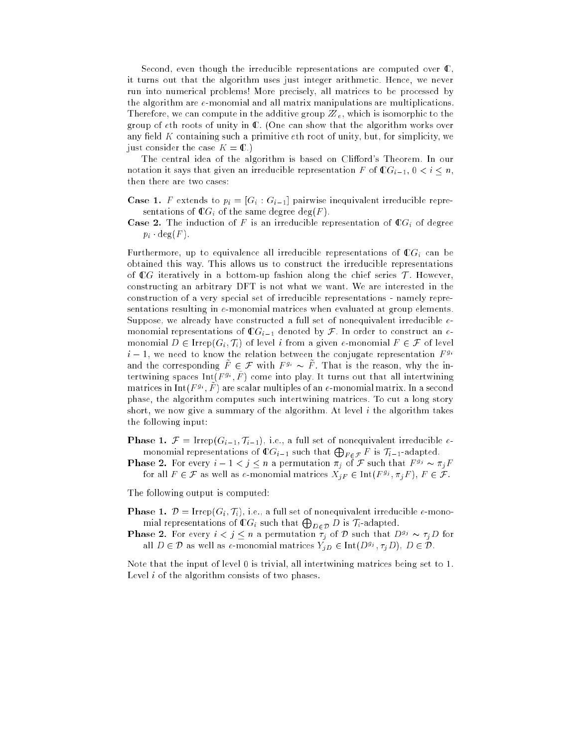Second, even though the irreducible representations are computed over C, it turns out that the algorithm uses just integer arithmetic. Hence, we never run into numerical problems! More precisely, all matrices to be processed by the algorithm are e-monomial and all matrix manipulations are multiplications. Therefore, we can compute in the additive group  $\mathbb{Z}_e$ , which is isomorphic to the group of eth roots of unity in C. (One can show that the algorithm works over any field  $K$  containing such a primitive eth root of unity, but, for simplicity, we just consider the case  $K = \mathbb{C}$ .)

The central idea of the algorithm is based on Clifford's Theorem. In our notation it says that given an irreducible representation F of  $\mathbb{C}G_{i-1}$ ,  $0 < i \leq n$ , then there are two cases:

- Case 1. <sup>F</sup> extends to pi = [Gi : Gi1] pairwise inequivalent irreducible representations of CGi of the same degree deg(F ).
- Case 2. The induction of <sup>F</sup> is an irreducible representation of CGi of degree pi = 0.1 = 1.

Furthermore, up to equivalence all irreducible representations of CGi can be obtained this way. This allows us to construct the irreducible representations of  $\mathbb{C}G$  iteratively in a bottom-up fashion along the chief series  $\mathcal{T}$ . However, constructing an arbitrary DFT is not what we want. We are interested in the construction of a very special set of irreducible representations - namely representations resulting in e-monomial matrices when evaluated at group elements. Suppose, we already have constructed a full set of nonequivalent irreducible emonomial representations of  $\mathbb{C}G_{i-1}$  denoted by  $\mathcal F$ . In order to construct an emonomial D 2 Irrep(Gi) /// i i from a given e-monomial D 2 F of level  $i = 1$ , we need to know the relation between the conjugate representation  $F^{(j)}$ and the corresponding  $F~\in~{\cal F}$  with  $F^{~\!}~\simeq~F$  . That is the reason, why the intertwining spaces  $\text{Int}(F^{(s)}, F)$  come into play. It turns out that all intertwining matrices in Int(F  $^{s}$  , F ) are scalar multiples of an e-monomial matrix. In a second phase, the algorithm computes such intertwining matrices. To cut a long story short, we now give a summary of the algorithm. At level  $i$  the algorithm takes the following input:

**Phase 1.**  $\mathcal{F} = \text{Irrep}(G_{i-1}, \mathcal{T}_{i-1}),$  i.e., a full set of nonequivalent irreducible emonomial representations of  $\mathbb{C}G_{i-1}$  such that  $\bigoplus_{F\in\mathcal{F}}F$  is  $\mathcal{T}_{i-1}$ -adapted.

**Phase 2.** For every  $i - 1 \leq j \leq n$  a permutation  $\pi_i$  of F such that  $F^{(g)} \sim \pi_i F$ for all  $F \in \mathcal{F}$  as well as e-monomial matrices  $A_iF \in \text{Int}(F^{(i)}, \pi_iF)$ ,  $F \in \mathcal{F}$ .

The following output is computed:

- Phase 1. <sup>D</sup> = Irrep(Gi ; Ti), i.e., a full set of nonequivalent irreducible e-monomial representations of  $\mathbb{C}G_i$  such that  $\bigoplus_{D\in\mathcal{D}}D$  is  $\mathcal{T}_i$ -adapted.
- **Phase 2.** For every  $i \leq j \leq n$  a permutation  $\tau_i$  of D such that  $D^{sj} \approx \tau_i D$  for all  $D \in \mathcal{D}$  as well as e-monomial matrices  $Y_{iD} \in \text{Int}(D^{s_{1}}, T_{i}D)$ ,  $D \in \mathcal{D}$ .

Note that the input of level 0 is trivial, all intertwining matrices being set to 1. Level  $i$  of the algorithm consists of two phases.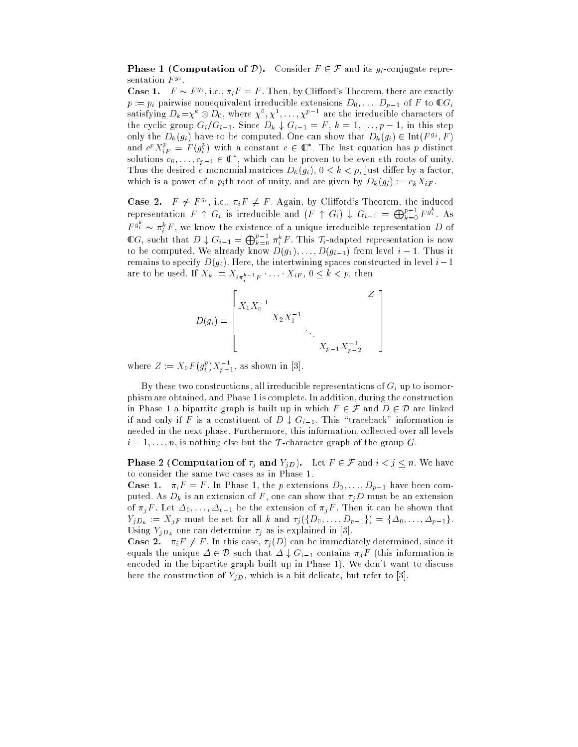**Phase 1 (Computation of D).** Consider  $F \in \mathcal{F}$  and its  $g_i$ -conjugate representation  $F^{g_i}$ .

**Case 1.**  $F \sim F^{g_i}$ , i.e.,  $\pi_i F = F$ . Then, by Clifford's Theorem, there are exactly p := pi pairwise nonequivalent irreducible extensions  $\sim$  0; : : : ;  $\sim$   $p-1$  or  $\sim$  .  $\sim$   $\sim$   $\omega$   $_{\ell}$ satisfying  $D_k = \chi^+ \otimes D_0$ , where  $\chi^-, \chi^-, \ldots, \chi^{r-1}$  are the irreducible characters of the cyclic group  $G_i/G_{i-1}$ . Since  $D_k \downarrow G_{i-1} = F, k = 1, \ldots, p - 1$ , in this step only the  $D_k(q_i)$  have to be computed. One can show that  $D_k(q_i) \in \mathrm{Int}(F^{(g)},F)$ and  $c^{\nu} X_{iF}^{\tau} = F(g_i^{\tau})$  with a constant  $c \in \mathbb{C}^{\tau}$ . The last equation has  $p$  distinct solutions  $c_0, \ldots, c_{p-1} \in \mathbb{C}^*$ , which can be proven to be even eth roots of unity. Thus the desired e-monomial matrices Dk (gi), 0 k < p, just dier by a factor, which is a power of a pitch root of unity, and are given by  $\equiv$  ck(gi) := ck+Fi.

**Case 2.**  $F \notin F^{g_i}$ , i.e.,  $\pi_i F \neq F$ . Again, by Clifford's Theorem, the induced representation  $F \uparrow G_i$  is irreducible and  $(F \uparrow G_i) \downarrow G_{i-1} = \bigoplus_{k=0}^{p-1} F^{g_i^k}$ . As  $F^{g_i} \sim \pi_i^k F$ , we know the existence of a unique irreducible representation D of  $\mathbb{C}G$ , sucht that  $D \downarrow G_{i-1} = \bigoplus_{k=0}^{p-1} \pi_i^k F$ . This  $\mathcal{T}_i$ -adapted representation is now to be computed . We also be computed in  $\mathcal{L}(\mathcal{J}_1)$  ; : :  $\mathcal{J}_2$   $\mathcal{L}(\mathcal{J}_2)$  from level in  $\mathcal{L}(\mathcal{J}_1)$ remains to specify  $D(g_i)$ . Here, the intertwining spaces constructed in level  $i-1$ are to be used. If  $\alpha \in \mathbb{Z}$  is  $\pi_i^*$  if  $F$  if  $\alpha \in \mathbb{Z}$  if  $\pi_i^*$  , then

$$
D(g_i) = \begin{bmatrix} X_1 X_0^{-1} & & & & Z \\ X_2 X_1^{-1} & & & \\ & \ddots & & \\ & & X_{p-1} X_{p-2}^{-1} \end{bmatrix}
$$

where  $Z := X_0 F(g_i^r) X_{p-1}$ , as shown in [3].

By these two constructions, all irreducible representations of Gi up to isomorphism are obtained, and Phase 1 is complete. In addition, during the construction in Phase 1 a bipartite graph is built up in which  $F \in \mathcal{F}$  and  $D \in \mathcal{D}$  are linked if and only if F is a constituent of  $D \downarrow G_{i-1}$ . This "traceback" information is needed in the next phase. Furthermore, this information, collected over all levels i = 1; : : : ; n, is nothing else but the <sup>T</sup> -character graph of the group G.

Phase 2 (Computation of j and YjD). Let <sup>F</sup> 2 F and i < j n. We have to consider the same two cases as in Phase 1.

**Case 1.**  $\pi_i F = F$ . In Phase 1, the p extensions  $D_0, \ldots, D_{p-1}$  have been comput is an extension of  $\mathbb{R}^n$  is an extension of  $\mathbb{R}^n$  , one can show that  $\mathbb{R}^n$  must be an extension of  $\pi_j F$ . Let  $\Delta_0, \ldots, \Delta_{p-1}$  be the extension of  $\pi_j F$ . Then it can be shown that  $Y_{jD_k} := X_{jF}$  must be set for all k and  $\tau_j({D_0, \ldots, D_{p-1}}) = {\Delta_0, \ldots, \Delta_{p-1}}.$ Using  $Y_{jD_k}$  one can determine  $\tau_j$  as is explained in [3].

 $\mathcal{L} = \mathcal{L} = \{ \mathcal{L} = \{ \mathcal{L} = \mathcal{L} \mid \mathcal{L} = \mathcal{L} \}$  (since it is called the interesting) determined, since it equals the unique  $\Delta \in \mathcal{D}$  such that  $\Delta \downarrow G_{i-1}$  contains  $\pi_j F$  (this information is encoded in the bipartite graph built up in Phase 1). We don't want to discuss here the construction of  $Y_{j,D}$ , which is a bit delicate, but refer to [3].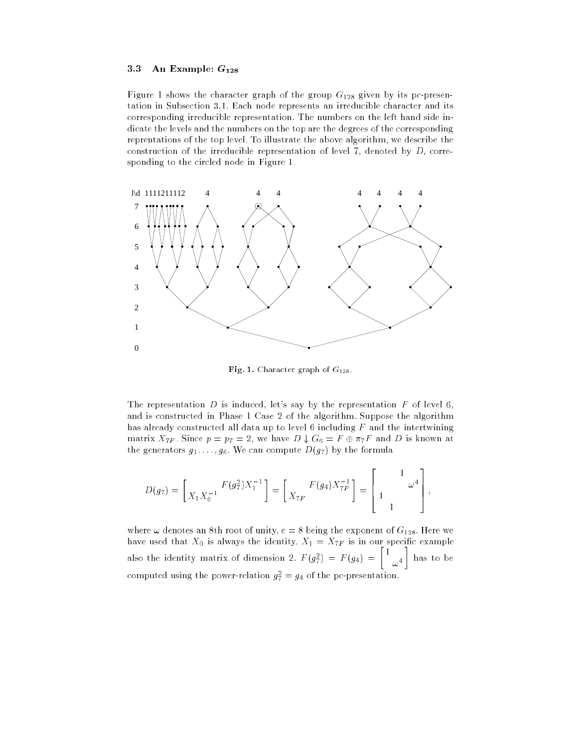# 3.3 An Example:  $G_{128}$

Figure 1 shows the character graph of the group  $G_{128}$  given by its pc-presentation in Subsection 3.1. Each node represents an irreducible character and its corresponding irreducible representation. The numbers on the left hand side indicate the levels and the numbers on the top are the degrees of the corresponding reprentations of the top level. To illustrate the above algorithm, we describe the construction of the irreducible representation of level 7, denoted by D, corresponding to the circled node in Figure 1.



Fig. 1. Character graph of  $G_{128}$ .

The representation  $D$  is induced, let's say by the representation  $F$  of level 6, and is constructed in Phase 1 Case 2 of the algorithm. Suppose the algorithm has already constructed all data up to level  $6$  including  $F$  and the intertwining matrix  $X_{7F}$ . Since  $p = p_7 = 2$ , we have  $D \downarrow G_6 = F \oplus \pi_7 F$  and D is known at the generators  $g_1, \ldots, g_6$ . We can compute  $D(g_7)$  by the formula

$$
D(g_7) = \begin{bmatrix} F(g_7^2)X_1^{-1} \end{bmatrix} = \begin{bmatrix} F(g_4)X_7^{-1} \end{bmatrix} = \begin{bmatrix} 1 & 1 \\ 1 & 1 \end{bmatrix},
$$

where  $\alpha$  and sthe and states are distributed to exponent of G128. Here we we have used that  $\mathcal{X}_0$  is always the identity,  $\mathcal{X}_1$  =  $\mathcal{X}_1$  is in our specific example also the identity matrix of dimension 2.  $F(g_7^2) = F(g_4) =$  $\omega^*$  |  $\omega$ computed using the power-relation  $g_7 = g_4$  of the pc-presentation.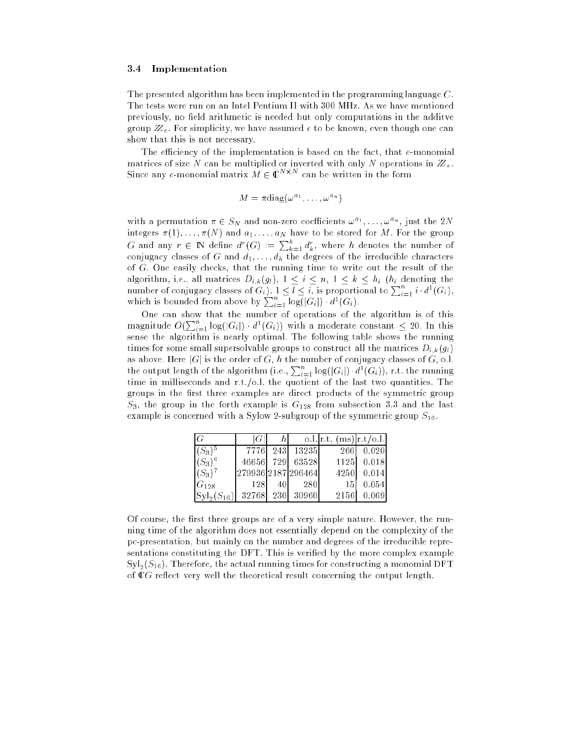#### 3.4 Implementation

The presented algorithm has been implemented in the programming language C. The tests were run on an Intel Pentium II with 300 MHz. As we have mentioned previously, no field arithmetic is needed but only computations in the additve group  $\mathbb{Z}_e$ . For simplicity, we have assumed e to be known, even though one can show that this is not necessary.

The efficiency of the implementation is based on the fact, that  $e$ -monomial matrices of size N can be multiplied or inverted with only N operations in  $\mathbb{Z}_e$ . Since any e-monomial matrix  $M \in \mathbb{C}^{+\infty}$  can be written in the form

$$
M = \pi \text{diag}(\omega^{a_1}, \dots, \omega^{a_n})
$$

with a permutation  $\pi \in \mathcal{S}_N$  and non-zero coefficients  $\omega^{-1}, \ldots, \omega^{-n}$ , just the ziv  $\mathbf{r}_1$  ,  $\mathbf{r}_2$  ,  $\mathbf{r}_3$  ,  $\mathbf{r}_4$  ,  $\mathbf{r}_5$  and  $\mathbf{r}_1$  ,  $\mathbf{r}_1$  and  $\mathbf{r}_2$  and  $\mathbf{r}_3$  and  $\mathbf{r}_4$  and  $\mathbf{r}_5$  and  $\mathbf{r}_6$  and  $\mathbf{r}_7$  and  $\mathbf{r}_8$  and  $\mathbf{r}_9$  and  $\mathbf{r}_9$  and  $\mathbf{r}_$ G and any  $r \in \mathbb{N}$  define  $d^r(G) := \sum_{k=1}^n d_k^r$ , where h denotes the number of conjugacy classes of G and  $d_1, \ldots, d_h$  the degrees of the irreducible characters of G. One easily checks, that the running time to write out the result of the algorithm, i.e., all matrices  $\alpha$  ,  $\alpha$  (dist,  $\alpha$  ),  $\alpha$  ,  $\alpha$  ,  $\alpha$  ,  $\alpha$  ,  $\alpha$  ,  $\alpha$  ,  $\alpha$  ,  $\alpha$ number of conjugacy classes of  $G_i)$ ,  $1 \leq l \leq i,$  is proportional to  $\sum_{i=1}^n i \cdot d^1(G_i),$ which is bounded from above by  $\sum_{i=1}^{n} \log(|G_i|) \cdot d^1(G_i)$ .

One can show that the number of operations of the algorithm is of this magnitude  $O(\sum_{i=1}^n \log(|G_i|) \cdot d^1(G_i))$  with a moderate constant  $\leq 20$ . In this sense the algorithm is nearly optimal. The following table shows the running times for some small supersolvable groups to construct all the matrices  $D_{i,k}(g_i)$ as above. Here  $|G|$  is the order of G, h the number of conjugacy classes of G, o.l. the output length of the algorithm (i.e.,  $\sum_{i=1}^n \log(|G_i|) \cdot d^1(G_i)$ ), r.t. the running time in milliseconds and r.t./o.l. the quotient of the last two quantities. The groups in the first three examples are direct products of the symmetric group  $S_3$ , the group in the forth example is  $G_{128}$  from subsection 3.3 and the last example is concerned with a Sylow 2-subgroup of the symmetric group  $S_{16}$ .

| IG                      | G                |      |                 | $h$ o.l. $\mathbf{r}$ .t. $(m\mathbf{s})\mathbf{r}$ .t $\sqrt{\text{o.l.}}$ |            |
|-------------------------|------------------|------|-----------------|-----------------------------------------------------------------------------|------------|
| $(S_3)^5$               |                  |      | 7776 243 13235  |                                                                             | 266 0.020  |
| $(S_3)^6$               |                  |      | 46656 729 63528 |                                                                             | 1125 0.018 |
| $(S_3)^7$               | 2799362187296464 |      |                 |                                                                             | 4250 0.014 |
| $G_{128}$               | <b>128</b>       | -401 | - 280           | 151                                                                         | 0.054      |
| $ {\rm Syl}_2(S_{16}) $ |                  |      | 32768 230 30960 | 2156                                                                        | 0.069      |

Of course, the first three groups are of a very simple nature. However, the running time of the algorithm does not essentially depend on the complexity of the pc-presentation, but mainly on the number and degrees of the irreducible representations constituting the DFT. This is verified by the more complex example  $\text{Syl}_2(S_{16})$ . Therefore, the actual running times for constructing a monomial DFT of  $\mathbb{C}G$  reflect very well the theoretical result concerning the output length.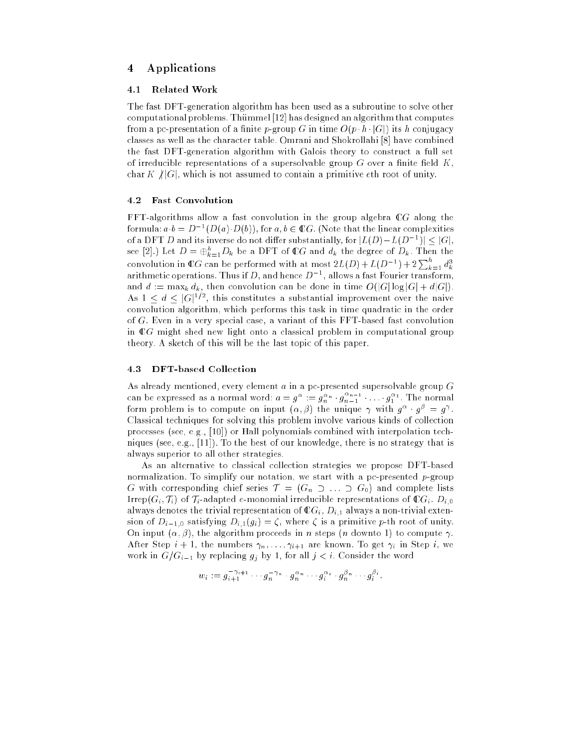# <sup>4</sup> Applications

# 4.1 Related Work

The fast DFT-generation algorithm has been used as a subroutine to solve other computational problems. Thummel [12] has designed an algorithm that computes from a pc-presentation of a finite p-group G in time  $O(p \cdot h \cdot |G|)$  its h conjugacy classes as well as the character table. Omrani and Shokrollahi [8] have combined the fast DFT-generation algorithm with Galois theory to construct a full set of irreducible representations of a supersolvable group  $G$  over a finite field  $K$ , char K  $\sqrt{|G|}$ , which is not assumed to contain a primitive eth root of unity.

### 4.2 Fast Convolution

FFT-algorithms allow a fast convolution in the group algebra  $\mathbb{C}G$  along the formula:  $a \cdot b = D^{-1}(D(a) \cdot D(b))$  , for  $a \cdot b \in \mathbb{U}(x)$  . (In ote that the linear complexities of a DFT  $D$  and its inverse do not differ substantially, for  $|L(D)-L(D^{-\tau})|\leq |G|$ , see [2].) Let  $D = \biguplus_{k=1}^{\infty} D_k$  be a DFT of UG and  $a_k$  the degree of  $D_k$ . Then the convolution in CG can be performed with at most  $2L(D) + L(D^{-1}) + 2\sum_{k=1}^{n} d_k^3$ arithmetic operations. Thus if D, and hence  $D^{-1}$ , allows a fast Fourier transform, and <sup>d</sup> := maxk dk, then convolution can be done in time O(jGj log jGj <sup>+</sup> djGj). As  $1 \leq a \leq |G|^{-\tau}$ , this constitutes a substantial improvement over the naive convolution algorithm, which performs this task in time quadratic in the order of G. Even in a very special case, a variant of this FFT-based fast convolution in CG might shed new light onto a classical problem in computational group theory. A sketch of this will be the last topic of this paper.

### 4.3 DFT-based Collection

As already mentioned, every element <sup>a</sup> in a pc-presented supersolvable group <sup>G</sup> can be expressed as a normal word:  $a = g^{\alpha} := g_n^{\alpha} \cdot g_{n-1}^{-\alpha} \cdot \ldots \cdot g_1^{\alpha}$ . The normal form problem is to compute on input  $(\alpha, \beta)$  the unique  $\gamma$  with  $q^{\alpha} - q^{\beta} = q^{\gamma}$ . Classical techniques for solving this problem involve various kinds of collection processes (see, e.g., [10]) or Hall polynomials combined with interpolation techniques (see, e.g., [11]). To the best of our knowledge, there is no strategy that is always superior to all other strategies.

As an alternative to classical collection strategies we propose DFT-based normalization. To simplify our notation, we start with a pc-presented p-group  $G$  with corresponding chief series  $T = \{G_n\}$   $\Rightarrow$   $T \cap \bigcup_{n \in \mathbb{N}} G_n$  and complete motor Irrep( $G_i$ ,  $\mathcal{T}_i$ ) of  $\mathcal{T}_i$ -adapted e-monomial irreducible representations of  $\mathbb{C}G_i$ .  $D_{i,0}$ always denotes the trivial representation of CGi , Dixitizing a non-trivial extension of  $\mathcal{L}$ sion of  $D_{i-1,0}$  satisfying  $D_{i,1}(g_i) = \zeta$ , where  $\zeta$  is a primitive p-th root of unity. On input  $(\alpha, \beta)$ , the algorithm proceeds in *n* steps (*n* downto 1) to compute  $\gamma$ . After Step  $i + 1$ , the numbers  $\gamma_n, \ldots, \gamma_{i+1}$  are known. To get  $\gamma_i$  in Step i, we work in  $G/G_{i-1}$  by replacing  $g_i$  by 1, for all  $j < i$ . Consider the word

$$
w_i := g_{i+1}^{-\gamma_{i+1}} \cdots g_n^{-\gamma_n} \cdot g_n^{\alpha_n} \cdots g_i^{\alpha_i} \cdot g_n^{\beta_n} \cdots g_i^{\beta_i}.
$$